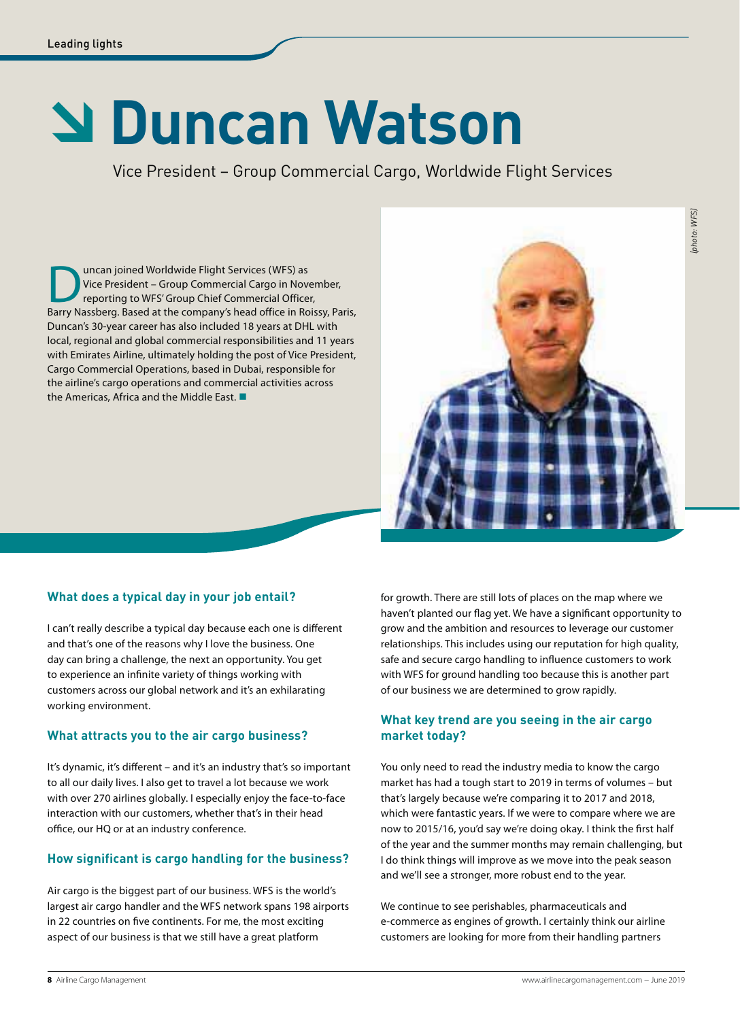# Â **Duncan Watson**

Vice President – Group Commercial Cargo, Worldwide Flight Services

**Duncan joined Worldwide Flight Services (WFS) as<br>
Vice President – Group Commercial Cargo in November,<br>
Barry Nassberg. Based at the company's head office in Roissy, Paris,** Vice President – Group Commercial Cargo in November, reporting to WFS' Group Chief Commercial Officer, Duncan's 30-year career has also included 18 years at DHL with local, regional and global commercial responsibilities and 11 years with Emirates Airline, ultimately holding the post of Vice President, Cargo Commercial Operations, based in Dubai, responsible for the airline's cargo operations and commercial activities across the Americas, Africa and the Middle East.



# **What does a typical day in your job entail?**

I can't really describe a typical day because each one is different and that's one of the reasons why I love the business. One day can bring a challenge, the next an opportunity. You get to experience an infinite variety of things working with customers across our global network and it's an exhilarating working environment.

# **What attracts you to the air cargo business?**

It's dynamic, it's different – and it's an industry that's so important to all our daily lives. I also get to travel a lot because we work with over 270 airlines globally. I especially enjoy the face-to-face interaction with our customers, whether that's in their head office, our HQ or at an industry conference.

# **How significant is cargo handling for the business?**

Air cargo is the biggest part of our business. WFS is the world's largest air cargo handler and the WFS network spans 198 airports in 22 countries on five continents. For me, the most exciting aspect of our business is that we still have a great platform

for growth. There are still lots of places on the map where we haven't planted our flag yet. We have a significant opportunity to grow and the ambition and resources to leverage our customer relationships. This includes using our reputation for high quality, safe and secure cargo handling to influence customers to work with WFS for ground handling too because this is another part of our business we are determined to grow rapidly.

### **What key trend are you seeing in the air cargo market today?**

You only need to read the industry media to know the cargo market has had a tough start to 2019 in terms of volumes – but that's largely because we're comparing it to 2017 and 2018, which were fantastic years. If we were to compare where we are now to 2015/16, you'd say we're doing okay. I think the first half of the year and the summer months may remain challenging, but I do think things will improve as we move into the peak season and we'll see a stronger, more robust end to the year.

We continue to see perishables, pharmaceuticals and e-commerce as engines of growth. I certainly think our airline customers are looking for more from their handling partners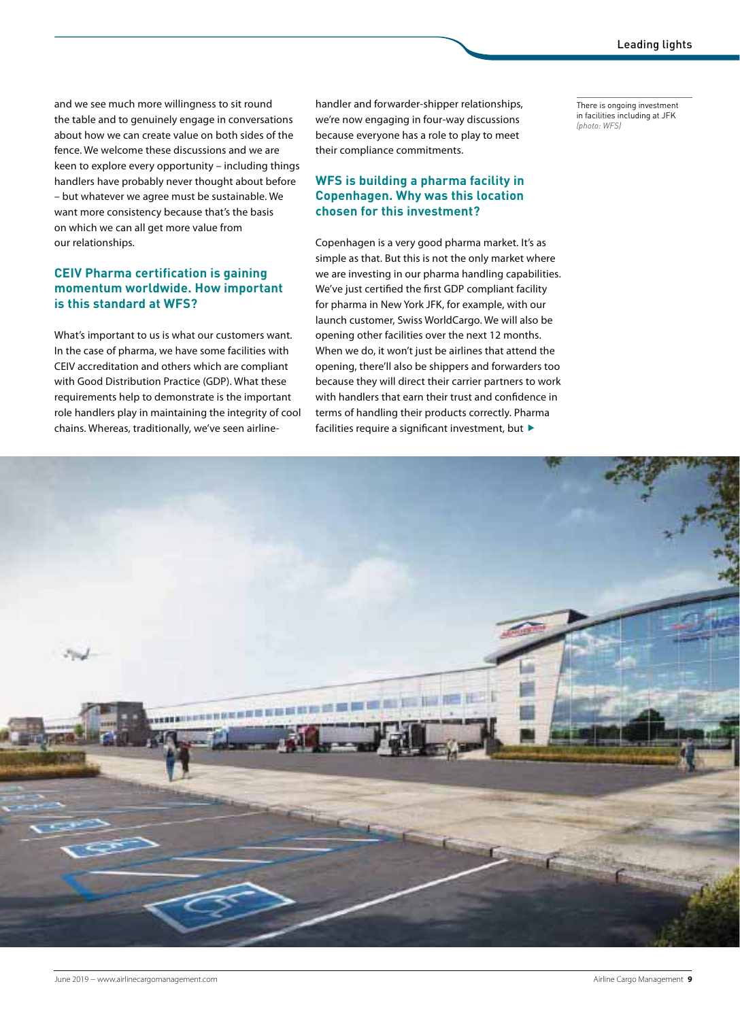and we see much more willingness to sit round the table and to genuinely engage in conversations about how we can create value on both sides of the fence. We welcome these discussions and we are keen to explore every opportunity – including things handlers have probably never thought about before – but whatever we agree must be sustainable. We want more consistency because that's the basis on which we can all get more value from our relationships.

#### **CEIV Pharma certification is gaining momentum worldwide. How important is this standard at WFS?**

What's important to us is what our customers want. In the case of pharma, we have some facilities with CEIV accreditation and others which are compliant with Good Distribution Practice (GDP). What these requirements help to demonstrate is the important role handlers play in maintaining the integrity of cool chains. Whereas, traditionally, we've seen airlinehandler and forwarder-shipper relationships, we're now engaging in four-way discussions because everyone has a role to play to meet their compliance commitments.

#### **WFS is building a pharma facility in Copenhagen. Why was this location chosen for this investment?**

Copenhagen is a very good pharma market. It's as simple as that. But this is not the only market where we are investing in our pharma handling capabilities. We've just certified the first GDP compliant facility for pharma in New York JFK, for example, with our launch customer, Swiss WorldCargo. We will also be opening other facilities over the next 12 months. When we do, it won't just be airlines that attend the opening, there'll also be shippers and forwarders too because they will direct their carrier partners to work with handlers that earn their trust and confidence in terms of handling their products correctly. Pharma facilities require a significant investment, but  $\blacktriangleright$ 

There is ongoing investment in facilities including at JFK *(photo: WFS)*